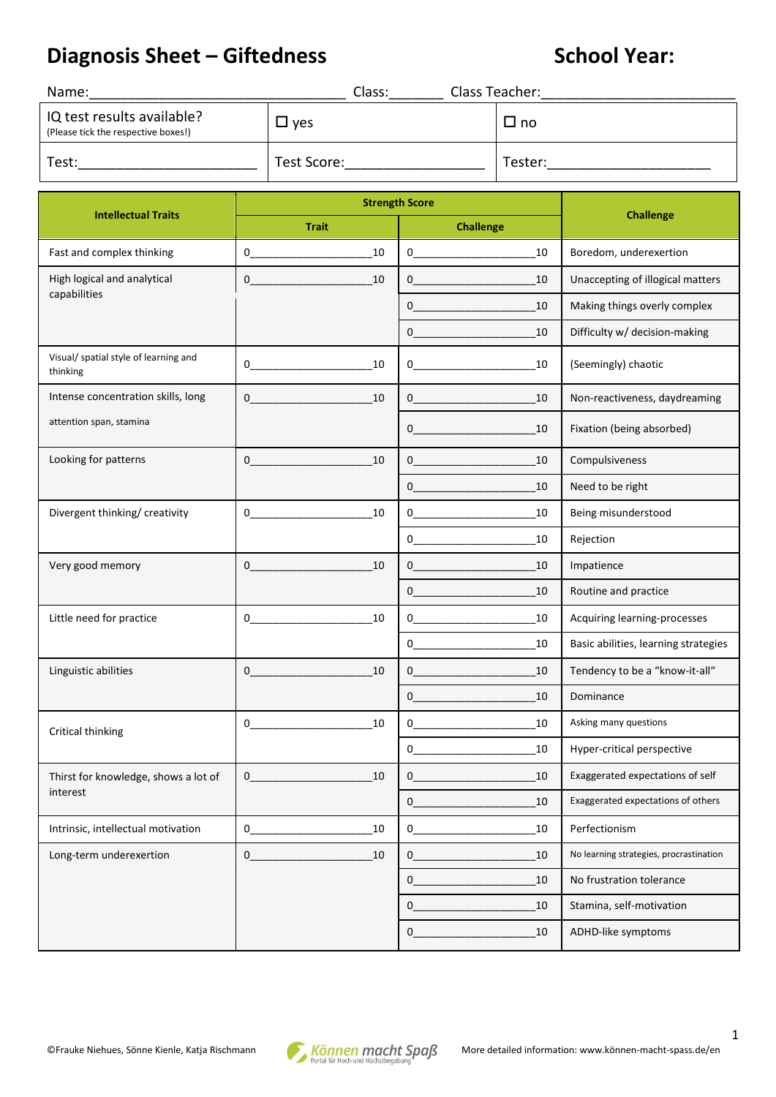## **Diagnosis Sheet – Giftedness School Year:**

| Name:                                                             | Class:        | Class Teacher: |
|-------------------------------------------------------------------|---------------|----------------|
| IQ test results available?<br>(Please tick the respective boxes!) | $\square$ ves | $\square$ no   |
| Test:                                                             | Test Score:   | Tester:        |

|                                                   | <b>Strength Score</b>                                                                                                                                                                                                                                                                                                                    |                                                                                                                                                                                                                                                                                                                                                                                                                                                                     |                                         |  |
|---------------------------------------------------|------------------------------------------------------------------------------------------------------------------------------------------------------------------------------------------------------------------------------------------------------------------------------------------------------------------------------------------|---------------------------------------------------------------------------------------------------------------------------------------------------------------------------------------------------------------------------------------------------------------------------------------------------------------------------------------------------------------------------------------------------------------------------------------------------------------------|-----------------------------------------|--|
| <b>Intellectual Traits</b>                        | <b>Trait</b>                                                                                                                                                                                                                                                                                                                             | <b>Challenge</b>                                                                                                                                                                                                                                                                                                                                                                                                                                                    | <b>Challenge</b>                        |  |
| Fast and complex thinking                         | $\overline{0}$<br>10                                                                                                                                                                                                                                                                                                                     | $\begin{picture}(20,20)(-0,0) \put(0,0){\vector(1,0){10}} \put(15,0){\vector(1,0){10}} \put(15,0){\vector(1,0){10}} \put(15,0){\vector(1,0){10}} \put(15,0){\vector(1,0){10}} \put(15,0){\vector(1,0){10}} \put(15,0){\vector(1,0){10}} \put(15,0){\vector(1,0){10}} \put(15,0){\vector(1,0){10}} \put(15,0){\vector(1,0){10}} \put(15,0){\vector(1,0){10}} \put(15,0$<br>10                                                                                        | Boredom, underexertion                  |  |
| High logical and analytical                       | $\overline{0}$<br>10<br>$\overline{\mathbf{0}}$<br>10                                                                                                                                                                                                                                                                                    |                                                                                                                                                                                                                                                                                                                                                                                                                                                                     | Unaccepting of illogical matters        |  |
| capabilities                                      |                                                                                                                                                                                                                                                                                                                                          | 10                                                                                                                                                                                                                                                                                                                                                                                                                                                                  | Making things overly complex            |  |
|                                                   |                                                                                                                                                                                                                                                                                                                                          | 10<br>$0 \qquad \qquad$                                                                                                                                                                                                                                                                                                                                                                                                                                             | Difficulty w/ decision-making           |  |
| Visual/ spatial style of learning and<br>thinking | $0 \qquad \qquad$<br>10                                                                                                                                                                                                                                                                                                                  | $0 \qquad \qquad$<br>10                                                                                                                                                                                                                                                                                                                                                                                                                                             | (Seemingly) chaotic                     |  |
| Intense concentration skills, long                | 10<br>$0 \qquad \qquad$                                                                                                                                                                                                                                                                                                                  | $0 \qquad \qquad$<br>10                                                                                                                                                                                                                                                                                                                                                                                                                                             | Non-reactiveness, daydreaming           |  |
| attention span, stamina                           |                                                                                                                                                                                                                                                                                                                                          | 10<br>$0 \qquad \qquad$                                                                                                                                                                                                                                                                                                                                                                                                                                             | Fixation (being absorbed)               |  |
| Looking for patterns                              | 10                                                                                                                                                                                                                                                                                                                                       | $\overline{0}$<br>10                                                                                                                                                                                                                                                                                                                                                                                                                                                | Compulsiveness                          |  |
|                                                   |                                                                                                                                                                                                                                                                                                                                          | $\begin{picture}(20,20)(-0,0) \put(0,0){\vector(1,0){10}} \put(15,0){\vector(1,0){10}} \put(15,0){\vector(1,0){10}} \put(15,0){\vector(1,0){10}} \put(15,0){\vector(1,0){10}} \put(15,0){\vector(1,0){10}} \put(15,0){\vector(1,0){10}} \put(15,0){\vector(1,0){10}} \put(15,0){\vector(1,0){10}} \put(15,0){\vector(1,0){10}} \put(15,0){\vector(1,0){10}} \put(15,0$<br>10                                                                                        | Need to be right                        |  |
| Divergent thinking/ creativity                    | 10<br>$\overline{0}$ and $\overline{0}$ and $\overline{0}$ and $\overline{0}$ and $\overline{0}$ and $\overline{0}$ and $\overline{0}$ and $\overline{0}$ and $\overline{0}$ and $\overline{0}$ and $\overline{0}$ and $\overline{0}$ and $\overline{0}$ and $\overline{0}$ and $\overline{0}$ and $\overline{0}$ and $\overline{0}$ and | $\begin{picture}(20,10) \put(0,0){\vector(1,0){100}} \put(15,0){\vector(1,0){100}} \put(15,0){\vector(1,0){100}} \put(15,0){\vector(1,0){100}} \put(15,0){\vector(1,0){100}} \put(15,0){\vector(1,0){100}} \put(15,0){\vector(1,0){100}} \put(15,0){\vector(1,0){100}} \put(15,0){\vector(1,0){100}} \put(15,0){\vector(1,0){100}} \put(15,0){\vector(1,0){100}} \$<br>10                                                                                           | Being misunderstood                     |  |
|                                                   |                                                                                                                                                                                                                                                                                                                                          | $\begin{picture}(20,20)(-0,0) \put(0,0){\line(1,0){10}} \put(15,0){\line(1,0){10}} \put(15,0){\line(1,0){10}} \put(15,0){\line(1,0){10}} \put(15,0){\line(1,0){10}} \put(15,0){\line(1,0){10}} \put(15,0){\line(1,0){10}} \put(15,0){\line(1,0){10}} \put(15,0){\line(1,0){10}} \put(15,0){\line(1,0){10}} \put(15,0){\line(1,0){10}} \put(15,0$<br>10                                                                                                              | Rejection                               |  |
| Very good memory                                  | 10<br>$\mathbf{0}$                                                                                                                                                                                                                                                                                                                       | 10<br>$0 \qquad \qquad$                                                                                                                                                                                                                                                                                                                                                                                                                                             | Impatience                              |  |
|                                                   |                                                                                                                                                                                                                                                                                                                                          | $0 \qquad \qquad$<br>10                                                                                                                                                                                                                                                                                                                                                                                                                                             | Routine and practice                    |  |
| Little need for practice                          | 10<br>0                                                                                                                                                                                                                                                                                                                                  | $0 \qquad \qquad$<br>10                                                                                                                                                                                                                                                                                                                                                                                                                                             | Acquiring learning-processes            |  |
|                                                   |                                                                                                                                                                                                                                                                                                                                          | 10<br>$\begin{picture}(20,20) \put(0,0){\dashbox{0}} \put(15,0){\dashbox{0}} \put(15,0){\dashbox{0}} \put(15,0){\dashbox{0}} \put(15,0){\dashbox{0}} \put(15,0){\dashbox{0}} \put(15,0){\dashbox{0}} \put(15,0){\dashbox{0}} \put(15,0){\dashbox{0}} \put(15,0){\dashbox{0}} \put(15,0){\dashbox{0}} \put(15,0){\dashbox{0}} \put(15,0){\dashbox{0}} \put(15,0){\dashbox{0}} \put(15,0){\dashbox{0}}$                                                               | Basic abilities, learning strategies    |  |
| Linguistic abilities                              | 10<br>$\overline{0}$ and $\overline{0}$ and $\overline{0}$ and $\overline{0}$ and $\overline{0}$ and $\overline{0}$ and $\overline{0}$ and $\overline{0}$ and $\overline{0}$ and $\overline{0}$ and $\overline{0}$ and $\overline{0}$ and $\overline{0}$ and $\overline{0}$ and $\overline{0}$ and $\overline{0}$ and $\overline{0}$ and | 10<br>$0 \qquad \qquad$                                                                                                                                                                                                                                                                                                                                                                                                                                             | Tendency to be a "know-it-all"          |  |
|                                                   |                                                                                                                                                                                                                                                                                                                                          | $\begin{array}{c c} \multicolumn{3}{c }{\textbf{0}} & \multicolumn{3}{c }{\textbf{0}}\\ \multicolumn{3}{c }{\textbf{0}} & \multicolumn{3}{c }{\textbf{0}}\\ \multicolumn{3}{c }{\textbf{0}} & \multicolumn{3}{c }{\textbf{0}}\\ \multicolumn{3}{c }{\textbf{0}} & \multicolumn{3}{c }{\textbf{0}}\\ \multicolumn{3}{c }{\textbf{0}} & \multicolumn{3}{c }{\textbf{0}}\\ \multicolumn{3}{c }{\textbf{0}} & \multicolumn{3}{c }{\textbf{0}}\\ \multicolumn{3}{$<br>10 | Dominance                               |  |
| Critical thinking                                 | 10<br>$\overline{0}$                                                                                                                                                                                                                                                                                                                     | 10<br>$0 \qquad \qquad$                                                                                                                                                                                                                                                                                                                                                                                                                                             | Asking many questions                   |  |
|                                                   |                                                                                                                                                                                                                                                                                                                                          | $\overline{0}$<br>10                                                                                                                                                                                                                                                                                                                                                                                                                                                | Hyper-critical perspective              |  |
| Thirst for knowledge, shows a lot of              | 10<br>$0_$                                                                                                                                                                                                                                                                                                                               | 0<br>$_{10}$                                                                                                                                                                                                                                                                                                                                                                                                                                                        | Exaggerated expectations of self        |  |
| interest                                          |                                                                                                                                                                                                                                                                                                                                          | 0<br>10                                                                                                                                                                                                                                                                                                                                                                                                                                                             | Exaggerated expectations of others      |  |
| Intrinsic, intellectual motivation                | 0<br>10                                                                                                                                                                                                                                                                                                                                  | 10<br>0                                                                                                                                                                                                                                                                                                                                                                                                                                                             | Perfectionism                           |  |
| Long-term underexertion                           | 10<br>0                                                                                                                                                                                                                                                                                                                                  | 10<br>0                                                                                                                                                                                                                                                                                                                                                                                                                                                             | No learning strategies, procrastination |  |
|                                                   |                                                                                                                                                                                                                                                                                                                                          | $\mathbf{0}$<br>10                                                                                                                                                                                                                                                                                                                                                                                                                                                  | No frustration tolerance                |  |
|                                                   |                                                                                                                                                                                                                                                                                                                                          | 10<br>0                                                                                                                                                                                                                                                                                                                                                                                                                                                             | Stamina, self-motivation                |  |
|                                                   |                                                                                                                                                                                                                                                                                                                                          | 10                                                                                                                                                                                                                                                                                                                                                                                                                                                                  | ADHD-like symptoms                      |  |



1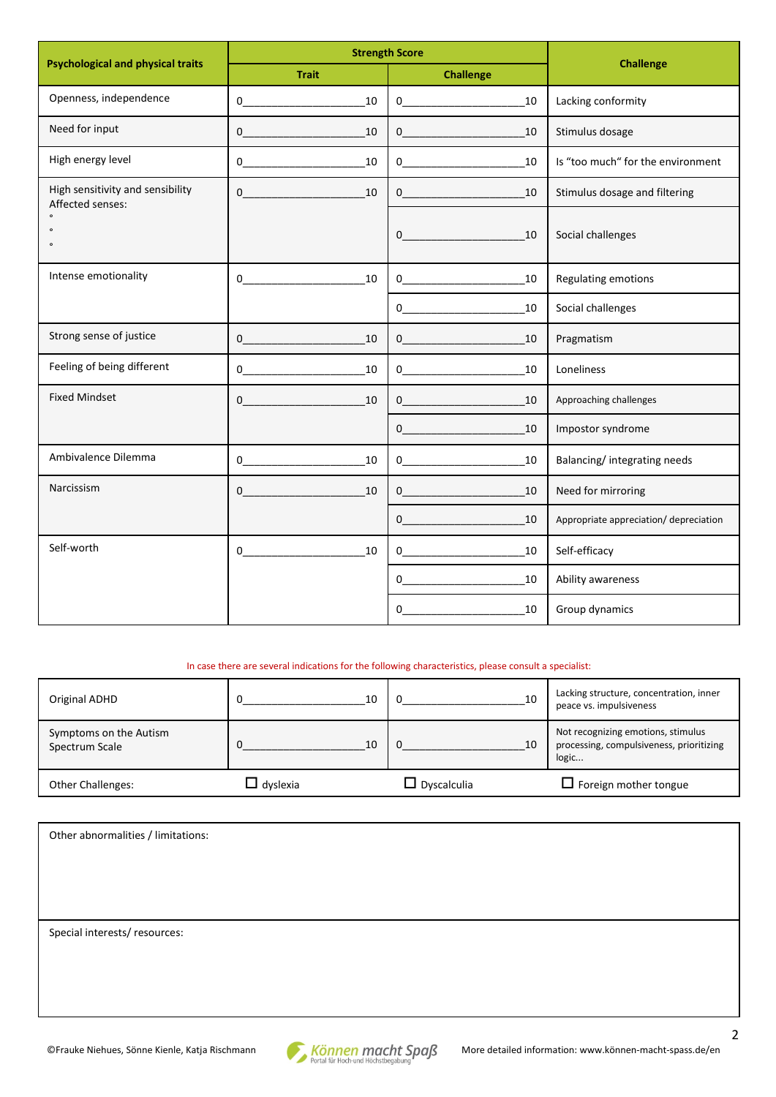| <b>Psychological and physical traits</b>             | <b>Strength Score</b>                                                                                                                                                                                                                                                                                                                                                                             | <b>Challenge</b>                                                                                                                                                                                                                                                                                                                                                              |                                        |  |
|------------------------------------------------------|---------------------------------------------------------------------------------------------------------------------------------------------------------------------------------------------------------------------------------------------------------------------------------------------------------------------------------------------------------------------------------------------------|-------------------------------------------------------------------------------------------------------------------------------------------------------------------------------------------------------------------------------------------------------------------------------------------------------------------------------------------------------------------------------|----------------------------------------|--|
|                                                      | <b>Trait</b>                                                                                                                                                                                                                                                                                                                                                                                      | <b>Challenge</b>                                                                                                                                                                                                                                                                                                                                                              |                                        |  |
| Openness, independence                               | $\overline{0}$<br>10                                                                                                                                                                                                                                                                                                                                                                              | 10<br>$0 \qquad \qquad$                                                                                                                                                                                                                                                                                                                                                       | Lacking conformity                     |  |
| Need for input                                       | 10<br>$\overline{0}$                                                                                                                                                                                                                                                                                                                                                                              | 10<br>$\overline{0}$                                                                                                                                                                                                                                                                                                                                                          | Stimulus dosage                        |  |
| High energy level                                    | $\overline{0}$<br>10                                                                                                                                                                                                                                                                                                                                                                              | $\overline{0}$<br>10                                                                                                                                                                                                                                                                                                                                                          | Is "too much" for the environment      |  |
| High sensitivity and sensibility<br>Affected senses: | 10<br>$0 \qquad \qquad$                                                                                                                                                                                                                                                                                                                                                                           | 10<br>$0 \qquad \qquad$                                                                                                                                                                                                                                                                                                                                                       | Stimulus dosage and filtering          |  |
| $\circ$<br>$\circ$                                   |                                                                                                                                                                                                                                                                                                                                                                                                   | $0 \qquad \qquad$<br>10                                                                                                                                                                                                                                                                                                                                                       | Social challenges                      |  |
| Intense emotionality                                 | 10                                                                                                                                                                                                                                                                                                                                                                                                | 10<br>$\overline{0}$                                                                                                                                                                                                                                                                                                                                                          | Regulating emotions                    |  |
|                                                      |                                                                                                                                                                                                                                                                                                                                                                                                   | 10<br>$\overline{0}$                                                                                                                                                                                                                                                                                                                                                          | Social challenges                      |  |
| Strong sense of justice                              | 10<br>$\overline{0}$                                                                                                                                                                                                                                                                                                                                                                              | $\overline{0}$<br>10                                                                                                                                                                                                                                                                                                                                                          | Pragmatism                             |  |
| Feeling of being different                           | $\begin{picture}(20,10) \put(0,0){\dashbox{0.5}(10,0){ }} \put(15,0){\circle{10}} \put(15,0){\circle{10}} \put(15,0){\circle{10}} \put(15,0){\circle{10}} \put(15,0){\circle{10}} \put(15,0){\circle{10}} \put(15,0){\circle{10}} \put(15,0){\circle{10}} \put(15,0){\circle{10}} \put(15,0){\circle{10}} \put(15,0){\circle{10}} \put(15,0){\circle{10}} \put(15,0){\circle{10}} \put(15,$<br>10 | 10<br>$\overline{0}$                                                                                                                                                                                                                                                                                                                                                          | Loneliness                             |  |
| <b>Fixed Mindset</b>                                 | 10<br>$\mathbf{0}$                                                                                                                                                                                                                                                                                                                                                                                | 10<br>$\begin{picture}(100,10) \put(0,0){\dashbox{0.5}(10,0){ }} \put(10,0){\dashbox{0.5}(10,0){ }} \put(10,0){\dashbox{0.5}(10,0){ }} \put(10,0){\dashbox{0.5}(10,0){ }} \put(10,0){\dashbox{0.5}(10,0){ }} \put(10,0){\dashbox{0.5}(10,0){ }} \put(10,0){\dashbox{0.5}(10,0){ }} \put(10,0){\dashbox{0.5}(10,0){ }} \put(10,0){\dashbox{0.5}(10,0){ }} \put(10,0){\dashbox$ | Approaching challenges                 |  |
|                                                      |                                                                                                                                                                                                                                                                                                                                                                                                   | $\overline{0}$<br>10                                                                                                                                                                                                                                                                                                                                                          | Impostor syndrome                      |  |
| Ambivalence Dilemma                                  | 10<br>$\overline{0}$                                                                                                                                                                                                                                                                                                                                                                              | $\overline{0}$<br>10                                                                                                                                                                                                                                                                                                                                                          | Balancing/ integrating needs           |  |
| Narcissism                                           | 10<br>$0 \qquad \qquad$                                                                                                                                                                                                                                                                                                                                                                           | 10<br>$0 \qquad \qquad$                                                                                                                                                                                                                                                                                                                                                       | Need for mirroring                     |  |
|                                                      |                                                                                                                                                                                                                                                                                                                                                                                                   | 10<br>$0 \qquad \qquad$                                                                                                                                                                                                                                                                                                                                                       | Appropriate appreciation/ depreciation |  |
| Self-worth                                           | 10<br>$\overline{0}$                                                                                                                                                                                                                                                                                                                                                                              | 10<br>$0 \qquad \qquad$                                                                                                                                                                                                                                                                                                                                                       | Self-efficacy                          |  |
|                                                      |                                                                                                                                                                                                                                                                                                                                                                                                   | $0 \quad \qquad$<br>10                                                                                                                                                                                                                                                                                                                                                        | Ability awareness                      |  |
|                                                      |                                                                                                                                                                                                                                                                                                                                                                                                   | 10<br>$\mathbf 0$                                                                                                                                                                                                                                                                                                                                                             | Group dynamics                         |  |

In case there are several indications for the following characteristics, please consult a specialist:

| Original ADHD                            | 10              | 10                 | Lacking structure, concentration, inner<br>peace vs. impulsiveness                      |
|------------------------------------------|-----------------|--------------------|-----------------------------------------------------------------------------------------|
| Symptoms on the Autism<br>Spectrum Scale | 10              | 10                 | Not recognizing emotions, stimulus<br>processing, compulsiveness, prioritizing<br>logic |
| <b>Other Challenges:</b>                 | $\Box$ dyslexia | $\Box$ Dyscalculia | $\Box$ Foreign mother tongue                                                            |

| Other abnormalities / limitations: |  |
|------------------------------------|--|
|                                    |  |
|                                    |  |
|                                    |  |
|                                    |  |
|                                    |  |
| Special interests/ resources:      |  |
|                                    |  |
|                                    |  |
|                                    |  |
|                                    |  |
|                                    |  |